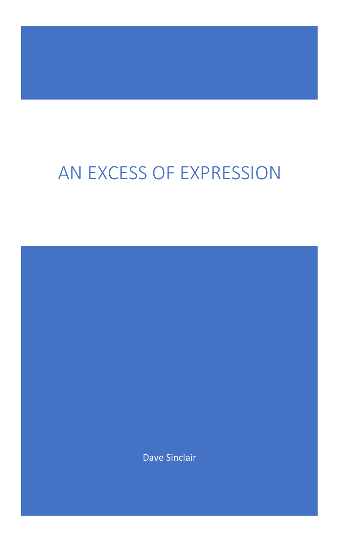# AN EXCESS OF EXPRESSION

Dave Sinclair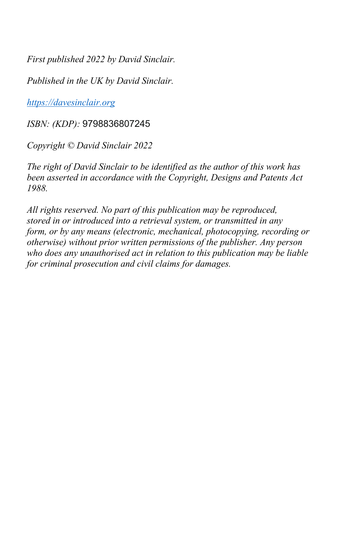*First published 2022 by David Sinclair.*

*Published in the UK by David Sinclair.*

*https://davesinclair.org*

*ISBN: (KDP):* 9798836807245

*Copyright © David Sinclair 2022*

*The right of David Sinclair to be identified as the author of this work has been asserted in accordance with the Copyright, Designs and Patents Act 1988.*

*All rights reserved. No part of this publication may be reproduced, stored in or introduced into a retrieval system, or transmitted in any form, or by any means (electronic, mechanical, photocopying, recording or otherwise) without prior written permissions of the publisher. Any person who does any unauthorised act in relation to this publication may be liable for criminal prosecution and civil claims for damages.*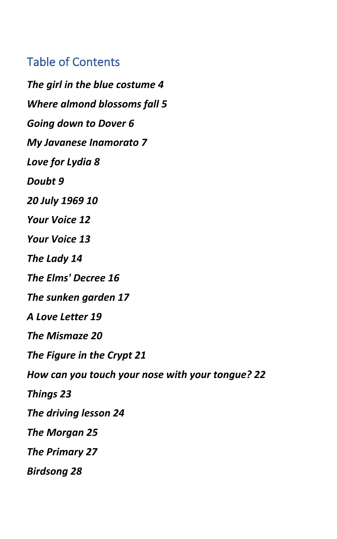#### Table of Contents

*The girl in the blue costume 4 Where almond blossoms fall 5 Going down to Dover 6 My Javanese Inamorato 7 Love for Lydia 8 Doubt 9 20 July 1969 10 Your Voice 12 Your Voice 13 The Lady 14 The Elms' Decree 16 The sunken garden 17 A Love Letter 19 The Mismaze 20 The Figure in the Crypt 21 How can you touch your nose with your tongue? 22 Things 23 The driving lesson 24 The Morgan 25 The Primary 27 Birdsong 28*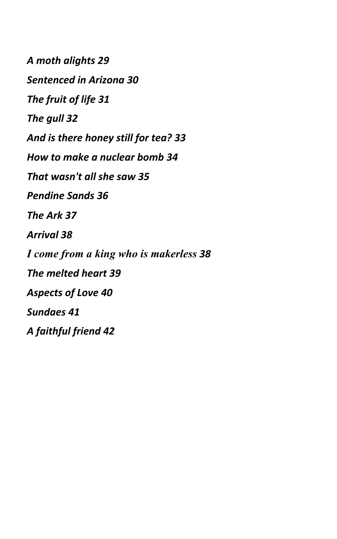*A moth alights 29 Sentenced in Arizona 30 The fruit of life 31 The gull 32 And is there honey still for tea? 33 How to make a nuclear bomb 34 That wasn't all she saw 35 Pendine Sands 36 The Ark 37 Arrival 38 I come from a king who is makerless 38 The melted heart 39 Aspects of Love 40 Sundaes 41 A faithful friend 42*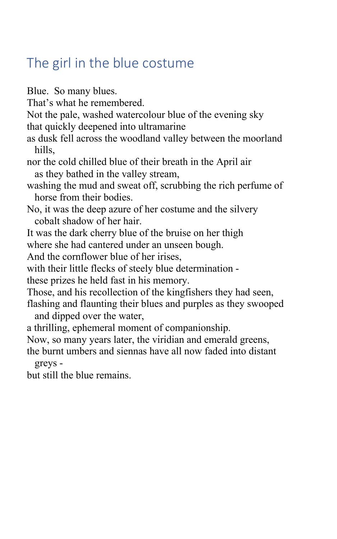## The girl in the blue costume

Blue. So many blues. That's what he remembered. Not the pale, washed watercolour blue of the evening sky that quickly deepened into ultramarine as dusk fell across the woodland valley between the moorland hills, nor the cold chilled blue of their breath in the April air as they bathed in the valley stream, washing the mud and sweat off, scrubbing the rich perfume of horse from their bodies. No, it was the deep azure of her costume and the silvery cobalt shadow of her hair. It was the dark cherry blue of the bruise on her thigh where she had cantered under an unseen bough. And the cornflower blue of her irises, with their little flecks of steely blue determination these prizes he held fast in his memory. Those, and his recollection of the kingfishers they had seen, flashing and flaunting their blues and purples as they swooped and dipped over the water, a thrilling, ephemeral moment of companionship. Now, so many years later, the viridian and emerald greens, the burnt umbers and siennas have all now faded into distant greys but still the blue remains.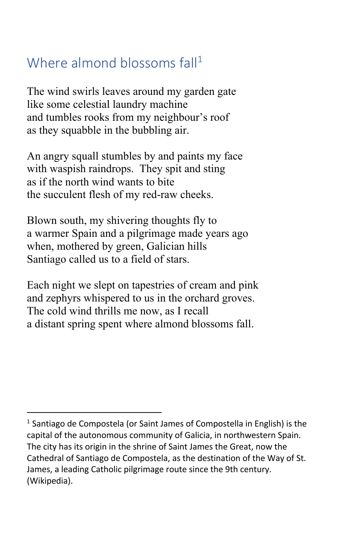## Where almond blossoms fall<sup>1</sup>

The wind swirls leaves around my garden gate like some celestial laundry machine and tumbles rooks from my neighbour's roof as they squabble in the bubbling air.

An angry squall stumbles by and paints my face with waspish raindrops. They spit and sting as if the north wind wants to bite the succulent flesh of my red-raw cheeks.

Blown south, my shivering thoughts fly to a warmer Spain and a pilgrimage made years ago when, mothered by green, Galician hills Santiago called us to a field of stars.

Each night we slept on tapestries of cream and pink and zephyrs whispered to us in the orchard groves. The cold wind thrills me now, as I recall a distant spring spent where almond blossoms fall.

<sup>&</sup>lt;sup>1</sup> Santiago de Compostela (or Saint James of Compostella in English) is the capital of the autonomous community of Galicia, in northwestern Spain. The city has its origin in the shrine of Saint James the Great, now the Cathedral of Santiago de Compostela, as the destination of the Way of St. James, a leading Catholic pilgrimage route since the 9th century. (Wikipedia).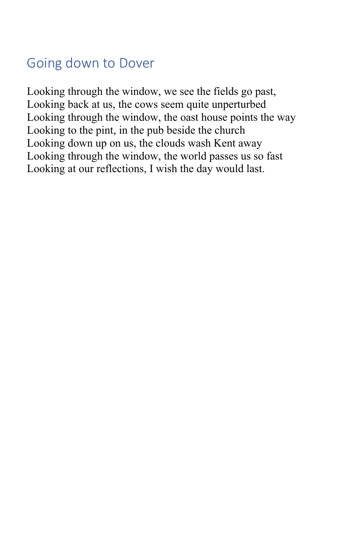## Going down to Dover

Looking through the window, we see the fields go past, Looking back at us, the cows seem quite unperturbed Looking through the window, the oast house points the way Looking to the pint, in the pub beside the church Looking down up on us, the clouds wash Kent away Looking through the window, the world passes us so fast Looking at our reflections, I wish the day would last.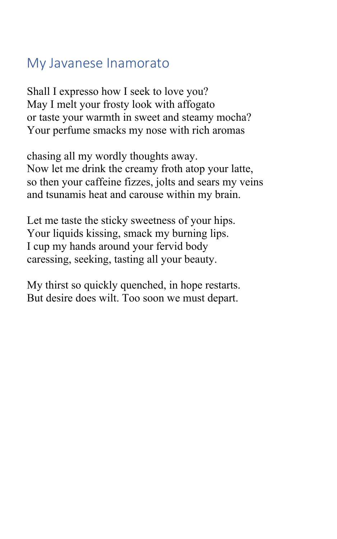#### My Javanese Inamorato

Shall I expresso how I seek to love you? May I melt your frosty look with affogato or taste your warmth in sweet and steamy mocha? Your perfume smacks my nose with rich aromas

chasing all my wordly thoughts away. Now let me drink the creamy froth atop your latte, so then your caffeine fizzes, jolts and sears my veins and tsunamis heat and carouse within my brain.

Let me taste the sticky sweetness of your hips. Your liquids kissing, smack my burning lips. I cup my hands around your fervid body caressing, seeking, tasting all your beauty.

My thirst so quickly quenched, in hope restarts. But desire does wilt. Too soon we must depart.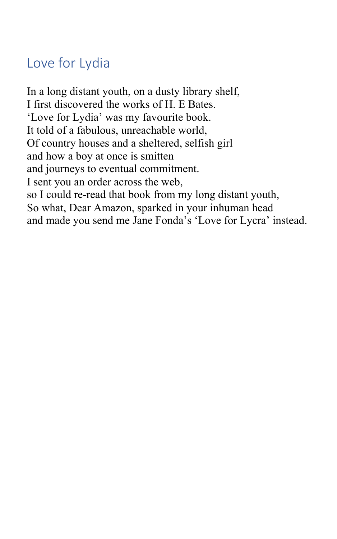## Love for Lydia

In a long distant youth, on a dusty library shelf, I first discovered the works of H. E Bates. 'Love for Lydia' was my favourite book. It told of a fabulous, unreachable world, Of country houses and a sheltered, selfish girl and how a boy at once is smitten and journeys to eventual commitment. I sent you an order across the web, so I could re-read that book from my long distant youth, So what, Dear Amazon, sparked in your inhuman head and made you send me Jane Fonda's 'Love for Lycra' instead.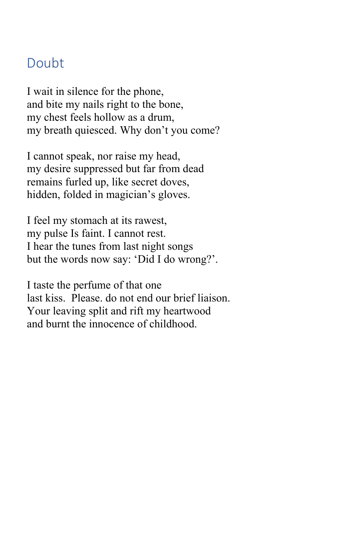#### Doubt

I wait in silence for the phone, and bite my nails right to the bone, my chest feels hollow as a drum, my breath quiesced. Why don't you come?

I cannot speak, nor raise my head, my desire suppressed but far from dead remains furled up, like secret doves, hidden, folded in magician's gloves.

I feel my stomach at its rawest, my pulse Is faint. I cannot rest. I hear the tunes from last night songs but the words now say: 'Did I do wrong?'.

I taste the perfume of that one last kiss. Please. do not end our brief liaison. Your leaving split and rift my heartwood and burnt the innocence of childhood.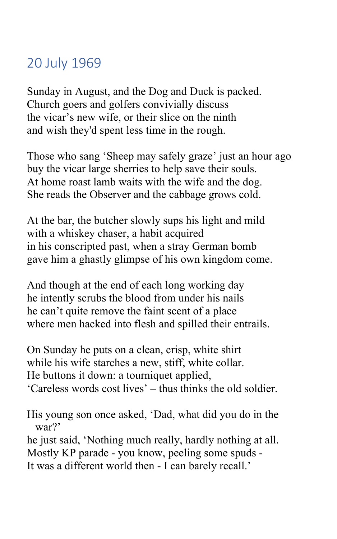## 20 July 1969

Sunday in August, and the Dog and Duck is packed. Church goers and golfers convivially discuss the vicar's new wife, or their slice on the ninth and wish they'd spent less time in the rough.

Those who sang 'Sheep may safely graze' just an hour ago buy the vicar large sherries to help save their souls. At home roast lamb waits with the wife and the dog. She reads the Observer and the cabbage grows cold.

At the bar, the butcher slowly sups his light and mild with a whiskey chaser, a habit acquired in his conscripted past, when a stray German bomb gave him a ghastly glimpse of his own kingdom come.

And though at the end of each long working day he intently scrubs the blood from under his nails he can't quite remove the faint scent of a place where men hacked into flesh and spilled their entrails.

On Sunday he puts on a clean, crisp, white shirt while his wife starches a new, stiff, white collar. He buttons it down: a tourniquet applied, 'Careless words cost lives' – thus thinks the old soldier.

His young son once asked, 'Dad, what did you do in the war?'

he just said, 'Nothing much really, hardly nothing at all. Mostly KP parade - you know, peeling some spuds - It was a different world then - I can barely recall.'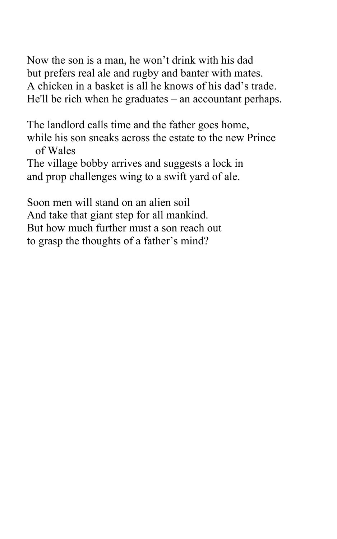Now the son is a man, he won't drink with his dad but prefers real ale and rugby and banter with mates. A chicken in a basket is all he knows of his dad's trade. He'll be rich when he graduates – an accountant perhaps.

The landlord calls time and the father goes home, while his son sneaks across the estate to the new Prince of Wales The village bobby arrives and suggests a lock in and prop challenges wing to a swift yard of ale.

Soon men will stand on an alien soil And take that giant step for all mankind. But how much further must a son reach out to grasp the thoughts of a father's mind?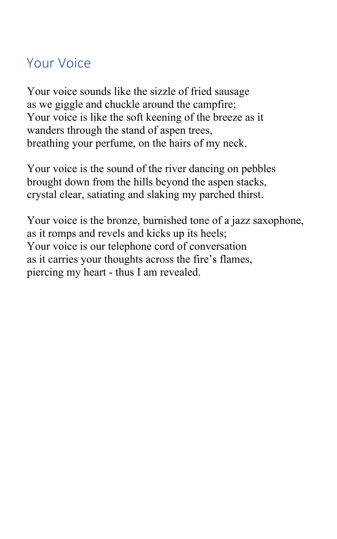#### Your Voice

Your voice sounds like the sizzle of fried sausage as we giggle and chuckle around the campfire; Your voice is like the soft keening of the breeze as it wanders through the stand of aspen trees, breathing your perfume, on the hairs of my neck.

Your voice is the sound of the river dancing on pebbles brought down from the hills beyond the aspen stacks, crystal clear, satiating and slaking my parched thirst.

Your voice is the bronze, burnished tone of a jazz saxophone, as it romps and revels and kicks up its heels; Your voice is our telephone cord of conversation as it carries your thoughts across the fire's flames, piercing my heart - thus I am revealed.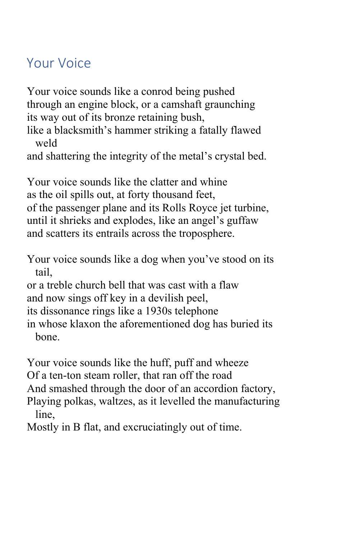#### Your Voice

Your voice sounds like a conrod being pushed through an engine block, or a camshaft graunching its way out of its bronze retaining bush,

like a blacksmith's hammer striking a fatally flawed weld

and shattering the integrity of the metal's crystal bed.

Your voice sounds like the clatter and whine as the oil spills out, at forty thousand feet, of the passenger plane and its Rolls Royce jet turbine, until it shrieks and explodes, like an angel's guffaw and scatters its entrails across the troposphere.

Your voice sounds like a dog when you've stood on its tail,

or a treble church bell that was cast with a flaw and now sings off key in a devilish peel,

its dissonance rings like a 1930s telephone

in whose klaxon the aforementioned dog has buried its bone.

Your voice sounds like the huff, puff and wheeze

Of a ten-ton steam roller, that ran off the road

And smashed through the door of an accordion factory,

Playing polkas, waltzes, as it levelled the manufacturing line,

Mostly in B flat, and excruciatingly out of time.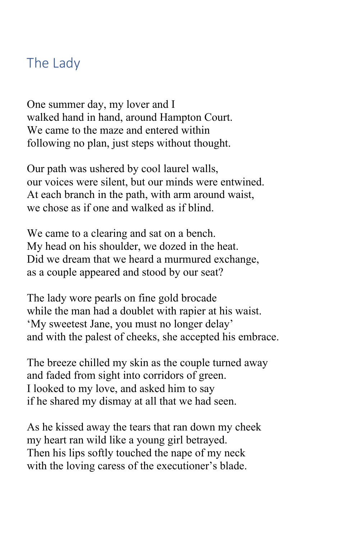#### The Lady

One summer day, my lover and I walked hand in hand, around Hampton Court. We came to the maze and entered within following no plan, just steps without thought.

Our path was ushered by cool laurel walls, our voices were silent, but our minds were entwined. At each branch in the path, with arm around waist, we chose as if one and walked as if blind.

We came to a clearing and sat on a bench. My head on his shoulder, we dozed in the heat. Did we dream that we heard a murmured exchange, as a couple appeared and stood by our seat?

The lady wore pearls on fine gold brocade while the man had a doublet with rapier at his waist. 'My sweetest Jane, you must no longer delay' and with the palest of cheeks, she accepted his embrace.

The breeze chilled my skin as the couple turned away and faded from sight into corridors of green. I looked to my love, and asked him to say if he shared my dismay at all that we had seen.

As he kissed away the tears that ran down my cheek my heart ran wild like a young girl betrayed. Then his lips softly touched the nape of my neck with the loving caress of the executioner's blade.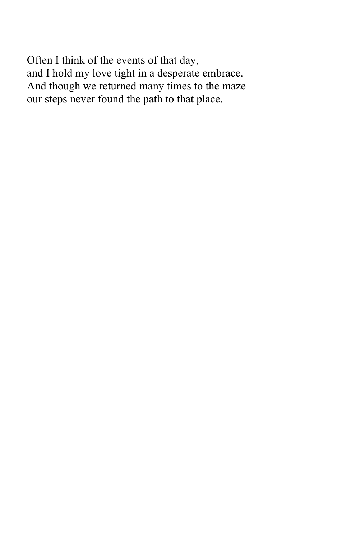Often I think of the events of that day, and I hold my love tight in a desperate embrace. And though we returned many times to the maze our steps never found the path to that place.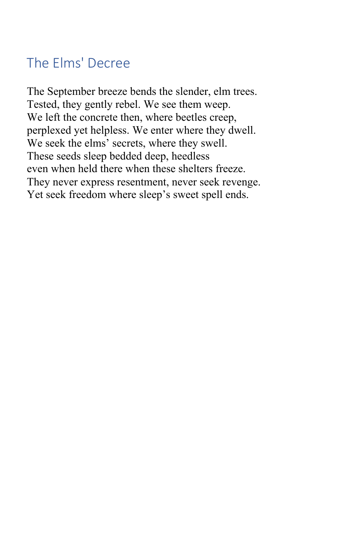# The Elms' Decree

The September breeze bends the slender, elm trees. Tested, they gently rebel. We see them weep. We left the concrete then, where beetles creep, perplexed yet helpless. We enter where they dwell. We seek the elms' secrets, where they swell. These seeds sleep bedded deep, heedless even when held there when these shelters freeze. They never express resentment, never seek revenge. Yet seek freedom where sleep's sweet spell ends.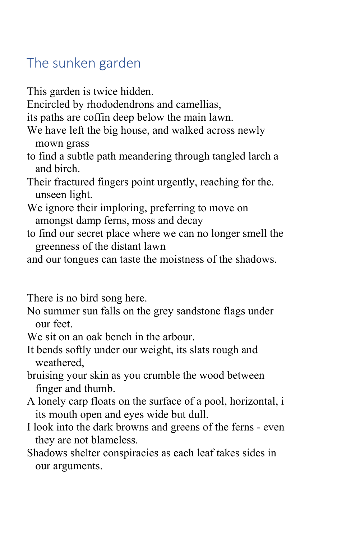### The sunken garden

- This garden is twice hidden.
- Encircled by rhododendrons and camellias,
- its paths are coffin deep below the main lawn.
- We have left the big house, and walked across newly mown grass
- to find a subtle path meandering through tangled larch a and birch.
- Their fractured fingers point urgently, reaching for the. unseen light.
- We ignore their imploring, preferring to move on amongst damp ferns, moss and decay
- to find our secret place where we can no longer smell the greenness of the distant lawn
- and our tongues can taste the moistness of the shadows.

There is no bird song here.

- No summer sun falls on the grey sandstone flags under our feet.
- We sit on an oak bench in the arbour.
- It bends softly under our weight, its slats rough and weathered,
- bruising your skin as you crumble the wood between finger and thumb.
- A lonely carp floats on the surface of a pool, horizontal, i its mouth open and eyes wide but dull.
- I look into the dark browns and greens of the ferns even they are not blameless.
- Shadows shelter conspiracies as each leaf takes sides in our arguments.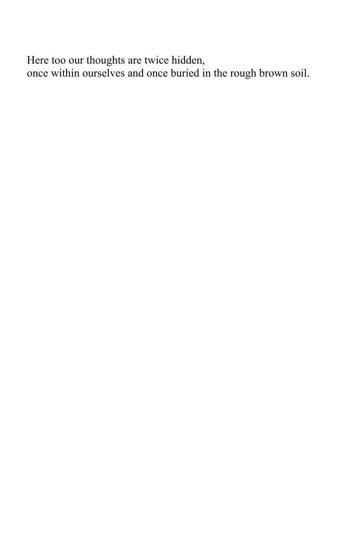Here too our thoughts are twice hidden, once within ourselves and once buried in the rough brown soil.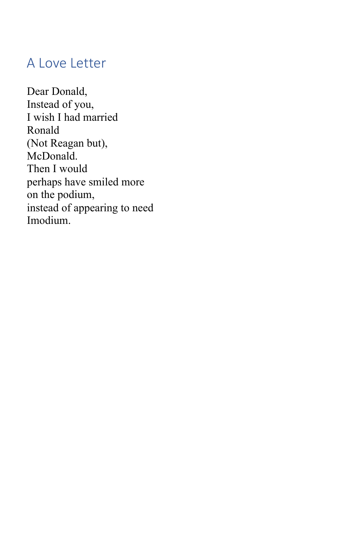#### A Love Letter

Dear Donald, Instead of you, I wish I had married Ronald (Not Reagan but), McDonald. Then I would perhaps have smiled more on the podium, instead of appearing to need Imodium.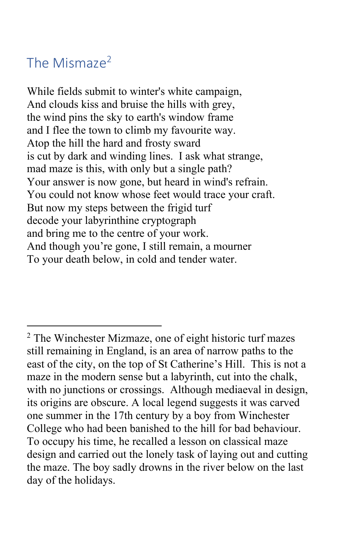## The Mismaze<sup>2</sup>

While fields submit to winter's white campaign, And clouds kiss and bruise the hills with grey, the wind pins the sky to earth's window frame and I flee the town to climb my favourite way. Atop the hill the hard and frosty sward is cut by dark and winding lines. I ask what strange, mad maze is this, with only but a single path? Your answer is now gone, but heard in wind's refrain. You could not know whose feet would trace your craft. But now my steps between the frigid turf decode your labyrinthine cryptograph and bring me to the centre of your work. And though you're gone, I still remain, a mourner To your death below, in cold and tender water.

<sup>2</sup> The Winchester Mizmaze, one of eight historic turf mazes still remaining in England, is an area of narrow paths to the east of the city, on the top of St Catherine's Hill. This is not a maze in the modern sense but a labyrinth, cut into the chalk, with no junctions or crossings. Although mediaeval in design, its origins are obscure. A local legend suggests it was carved one summer in the 17th century by a boy from Winchester College who had been banished to the hill for bad behaviour. To occupy his time, he recalled a lesson on classical maze design and carried out the lonely task of laying out and cutting the maze. The boy sadly drowns in the river below on the last day of the holidays.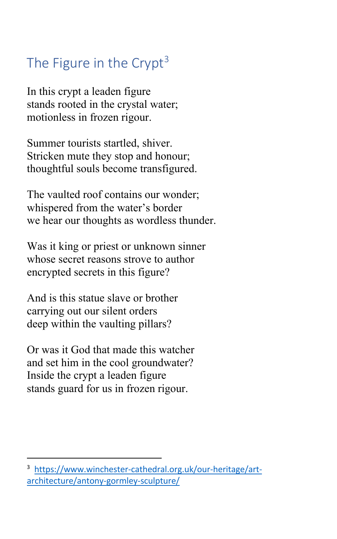# The Figure in the Crypt $3$

In this crypt a leaden figure stands rooted in the crystal water; motionless in frozen rigour.

Summer tourists startled, shiver. Stricken mute they stop and honour; thoughtful souls become transfigured.

The vaulted roof contains our wonder; whispered from the water's border we hear our thoughts as wordless thunder.

Was it king or priest or unknown sinner whose secret reasons strove to author encrypted secrets in this figure?

And is this statue slave or brother carrying out our silent orders deep within the vaulting pillars?

Or was it God that made this watcher and set him in the cool groundwater? Inside the crypt a leaden figure stands guard for us in frozen rigour.

<sup>3</sup> https://www.winchester-cathedral.org.uk/our-heritage/artarchitecture/antony-gormley-sculpture/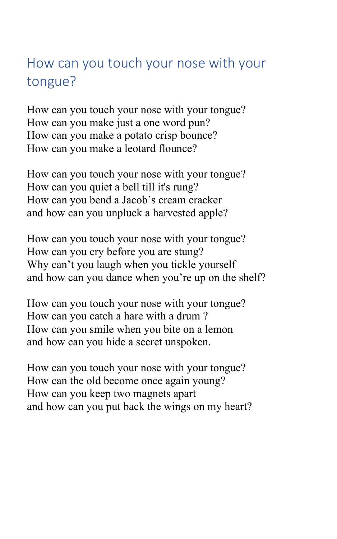## How can you touch your nose with your tongue?

How can you touch your nose with your tongue? How can you make just a one word pun? How can you make a potato crisp bounce? How can you make a leotard flounce?

How can you touch your nose with your tongue? How can you quiet a bell till it's rung? How can you bend a Jacob's cream cracker and how can you unpluck a harvested apple?

How can you touch your nose with your tongue? How can you cry before you are stung? Why can't you laugh when you tickle yourself and how can you dance when you're up on the shelf?

How can you touch your nose with your tongue? How can you catch a hare with a drum ? How can you smile when you bite on a lemon and how can you hide a secret unspoken.

How can you touch your nose with your tongue? How can the old become once again young? How can you keep two magnets apart and how can you put back the wings on my heart?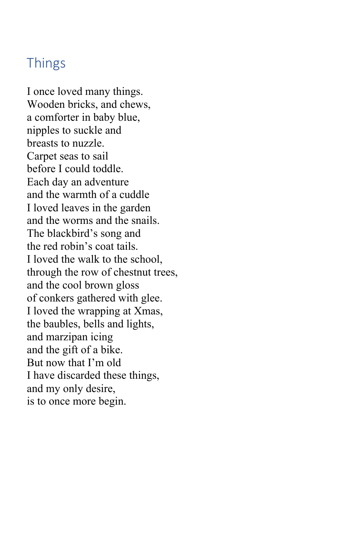#### Things

I once loved many things. Wooden bricks, and chews, a comforter in baby blue, nipples to suckle and breasts to nuzzle. Carpet seas to sail before I could toddle. Each day an adventure and the warmth of a cuddle I loved leaves in the garden and the worms and the snails. The blackbird's song and the red robin's coat tails. I loved the walk to the school, through the row of chestnut trees, and the cool brown gloss of conkers gathered with glee. I loved the wrapping at Xmas, the baubles, bells and lights, and marzipan icing and the gift of a bike. But now that I'm old I have discarded these things, and my only desire, is to once more begin.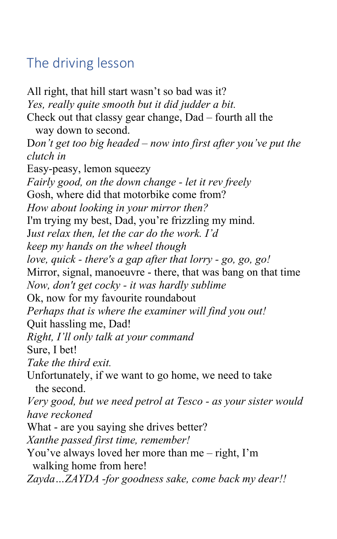## The driving lesson

All right, that hill start wasn't so bad was it? *Yes, really quite smooth but it did judder a bit.* Check out that classy gear change, Dad – fourth all the way down to second. D*on't get too big headed – now into first after you've put the clutch in* Easy-peasy, lemon squeezy *Fairly good, on the down change - let it rev freely* Gosh, where did that motorbike come from? *How about looking in your mirror then?* I'm trying my best, Dad, you're frizzling my mind. J*ust relax then, let the car do the work. I'd keep my hands on the wheel though love, quick - there's a gap after that lorry - go, go, go!* Mirror, signal, manoeuvre - there, that was bang on that time *Now, don't get cocky - it was hardly sublime* Ok, now for my favourite roundabout *Perhaps that is where the examiner will find you out!* Quit hassling me, Dad! *Right, I'll only talk at your command* Sure, I bet! *Take the third exit.* Unfortunately, if we want to go home, we need to take the second. *Very good, but we need petrol at Tesco - as your sister would have reckoned* What - are you saying she drives better? *Xanthe passed first time, remember!* You've always loved her more than me – right, I'm walking home from here! *Zayda…ZAYDA -for goodness sake, come back my dear!!*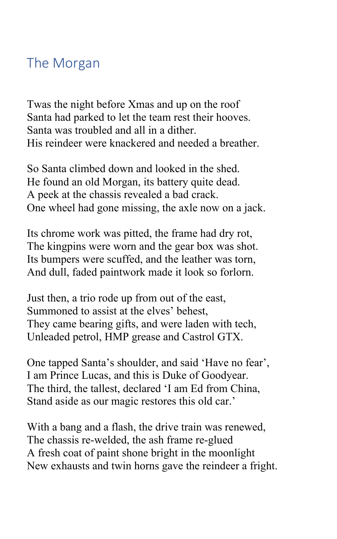#### The Morgan

Twas the night before Xmas and up on the roof Santa had parked to let the team rest their hooves. Santa was troubled and all in a dither. His reindeer were knackered and needed a breather.

So Santa climbed down and looked in the shed. He found an old Morgan, its battery quite dead. A peek at the chassis revealed a bad crack. One wheel had gone missing, the axle now on a jack.

Its chrome work was pitted, the frame had dry rot, The kingpins were worn and the gear box was shot. Its bumpers were scuffed, and the leather was torn, And dull, faded paintwork made it look so forlorn.

Just then, a trio rode up from out of the east, Summoned to assist at the elves' behest, They came bearing gifts, and were laden with tech, Unleaded petrol, HMP grease and Castrol GTX.

One tapped Santa's shoulder, and said 'Have no fear', I am Prince Lucas, and this is Duke of Goodyear. The third, the tallest, declared 'I am Ed from China, Stand aside as our magic restores this old car.'

With a bang and a flash, the drive train was renewed, The chassis re-welded, the ash frame re-glued A fresh coat of paint shone bright in the moonlight New exhausts and twin horns gave the reindeer a fright.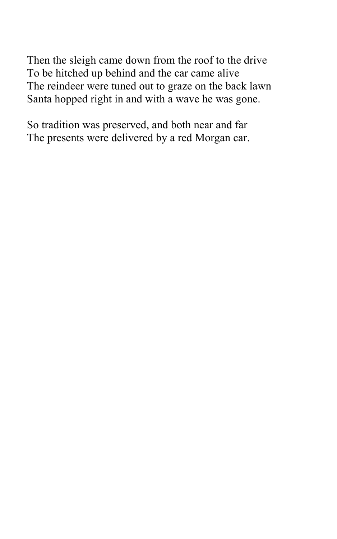Then the sleigh came down from the roof to the drive To be hitched up behind and the car came alive The reindeer were tuned out to graze on the back lawn Santa hopped right in and with a wave he was gone.

So tradition was preserved, and both near and far The presents were delivered by a red Morgan car.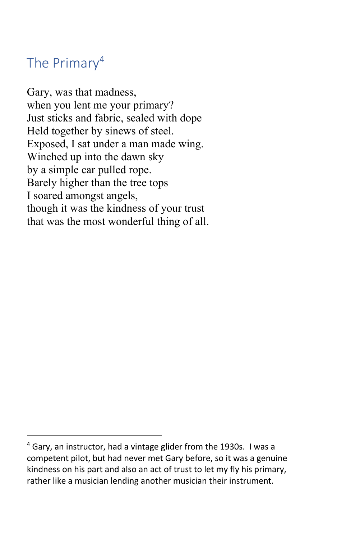## The Primary<sup>4</sup>

Gary, was that madness, when you lent me your primary? Just sticks and fabric, sealed with dope Held together by sinews of steel. Exposed, I sat under a man made wing. Winched up into the dawn sky by a simple car pulled rope. Barely higher than the tree tops I soared amongst angels, though it was the kindness of your trust that was the most wonderful thing of all.

 $4$  Gary, an instructor, had a vintage glider from the 1930s. I was a competent pilot, but had never met Gary before, so it was a genuine kindness on his part and also an act of trust to let my fly his primary, rather like a musician lending another musician their instrument.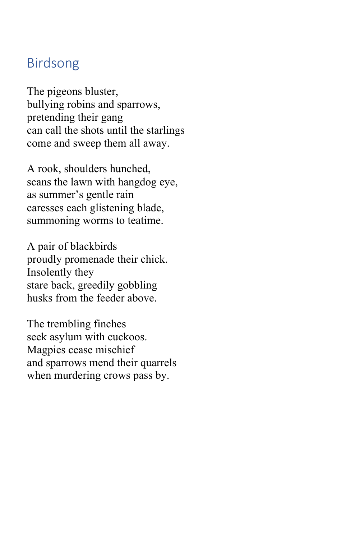#### Birdsong

The pigeons bluster, bullying robins and sparrows, pretending their gang can call the shots until the starlings come and sweep them all away.

A rook, shoulders hunched, scans the lawn with hangdog eye, as summer's gentle rain caresses each glistening blade, summoning worms to teatime.

A pair of blackbirds proudly promenade their chick. Insolently they stare back, greedily gobbling husks from the feeder above.

The trembling finches seek asylum with cuckoos. Magpies cease mischief and sparrows mend their quarrels when murdering crows pass by.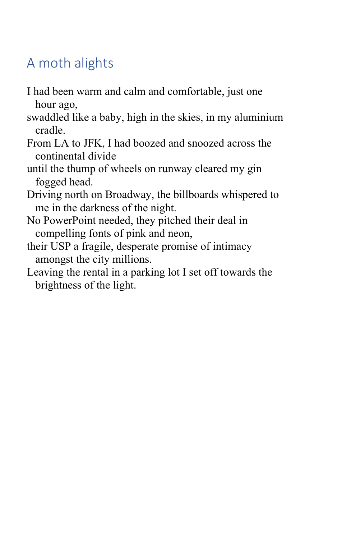# A moth alights

- I had been warm and calm and comfortable, just one hour ago,
- swaddled like a baby, high in the skies, in my aluminium cradle.
- From LA to JFK, I had boozed and snoozed across the continental divide
- until the thump of wheels on runway cleared my gin fogged head.
- Driving north on Broadway, the billboards whispered to me in the darkness of the night.
- No PowerPoint needed, they pitched their deal in compelling fonts of pink and neon,
- their USP a fragile, desperate promise of intimacy amongst the city millions.
- Leaving the rental in a parking lot I set off towards the brightness of the light.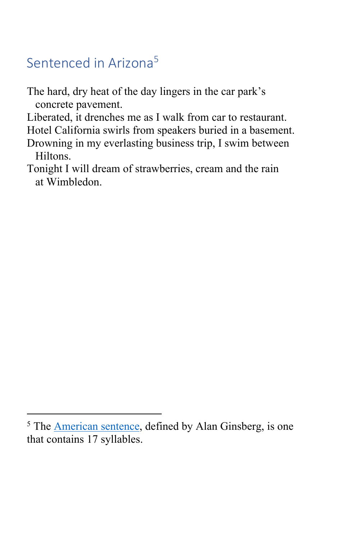## Sentenced in Arizona<sup>5</sup>

The hard, dry heat of the day lingers in the car park's concrete pavement.

Liberated, it drenches me as I walk from car to restaurant.

Hotel California swirls from speakers buried in a basement.

- Drowning in my everlasting business trip, I swim between Hiltons.
- Tonight I will dream of strawberries, cream and the rain at Wimbledon.

<sup>&</sup>lt;sup>5</sup> The American sentence, defined by Alan Ginsberg, is one that contains 17 syllables.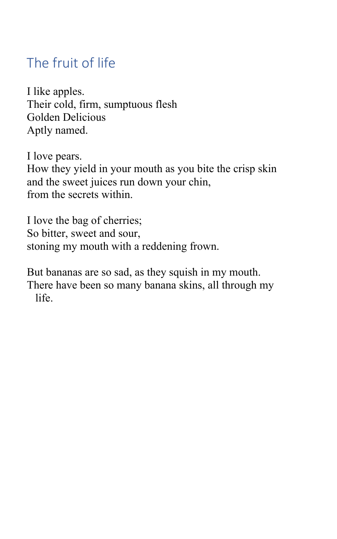## The fruit of life

I like apples. Their cold, firm, sumptuous flesh Golden Delicious Aptly named.

I love pears. How they yield in your mouth as you bite the crisp skin and the sweet juices run down your chin, from the secrets within.

I love the bag of cherries; So bitter, sweet and sour, stoning my mouth with a reddening frown.

But bananas are so sad, as they squish in my mouth. There have been so many banana skins, all through my life.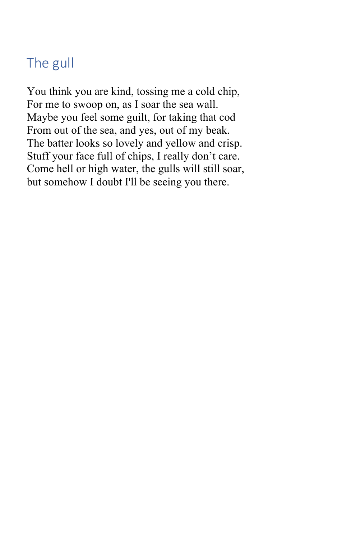# The gull

You think you are kind, tossing me a cold chip, For me to swoop on, as I soar the sea wall. Maybe you feel some guilt, for taking that cod From out of the sea, and yes, out of my beak. The batter looks so lovely and yellow and crisp. Stuff your face full of chips, I really don't care. Come hell or high water, the gulls will still soar, but somehow I doubt I'll be seeing you there.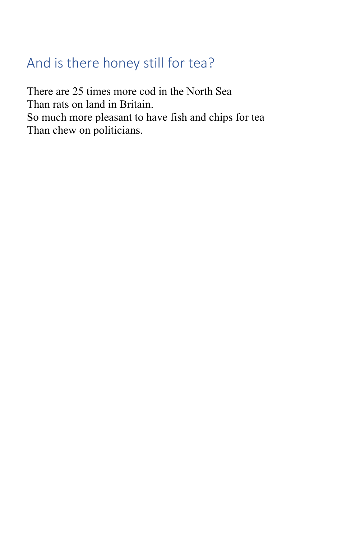## And is there honey still for tea?

There are 25 times more cod in the North Sea Than rats on land in Britain. So much more pleasant to have fish and chips for tea Than chew on politicians.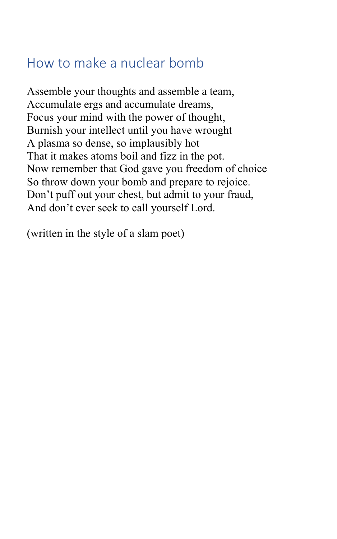#### How to make a nuclear bomb

Assemble your thoughts and assemble a team, Accumulate ergs and accumulate dreams, Focus your mind with the power of thought, Burnish your intellect until you have wrought A plasma so dense, so implausibly hot That it makes atoms boil and fizz in the pot. Now remember that God gave you freedom of choice So throw down your bomb and prepare to rejoice. Don't puff out your chest, but admit to your fraud, And don't ever seek to call yourself Lord.

(written in the style of a slam poet)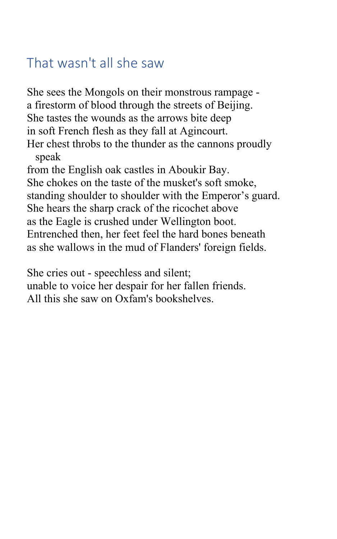#### That wasn't all she saw

She sees the Mongols on their monstrous rampage a firestorm of blood through the streets of Beijing. She tastes the wounds as the arrows bite deep in soft French flesh as they fall at Agincourt. Her chest throbs to the thunder as the cannons proudly speak from the English oak castles in Aboukir Bay. She chokes on the taste of the musket's soft smoke, standing shoulder to shoulder with the Emperor's guard. She hears the sharp crack of the ricochet above as the Eagle is crushed under Wellington boot. Entrenched then, her feet feel the hard bones beneath

as she wallows in the mud of Flanders' foreign fields.

She cries out - speechless and silent;

unable to voice her despair for her fallen friends. All this she saw on Oxfam's bookshelves.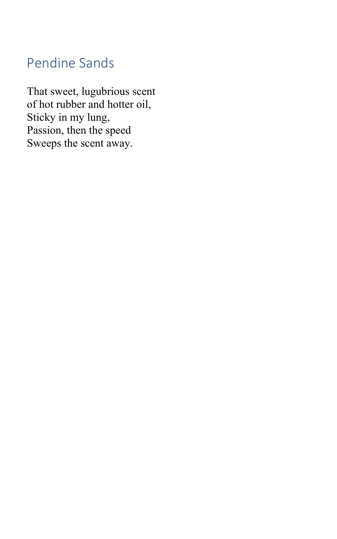## Pendine Sands

That sweet, lugubrious scent of hot rubber and hotter oil, Sticky in my lung, Passion, then the speed Sweeps the scent away.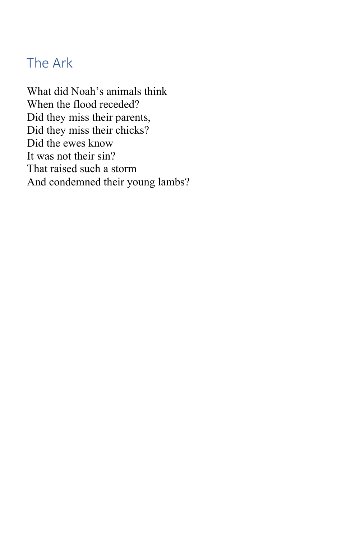### The Ark

What did Noah's animals think When the flood receded? Did they miss their parents, Did they miss their chicks? Did the ewes know It was not their sin? That raised such a storm And condemned their young lambs?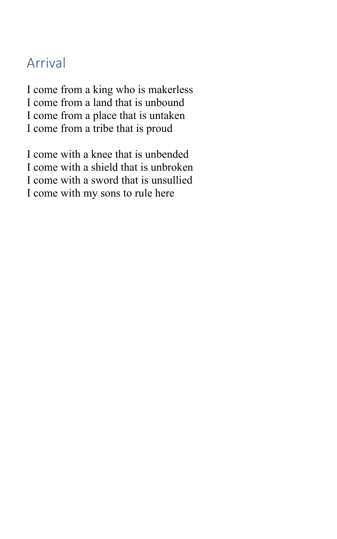#### Arrival

I come from a king who is makerless I come from a land that is unbound I come from a place that is untaken I come from a tribe that is proud

I come with a knee that is unbended I come with a shield that is unbroken I come with a sword that is unsullied I come with my sons to rule here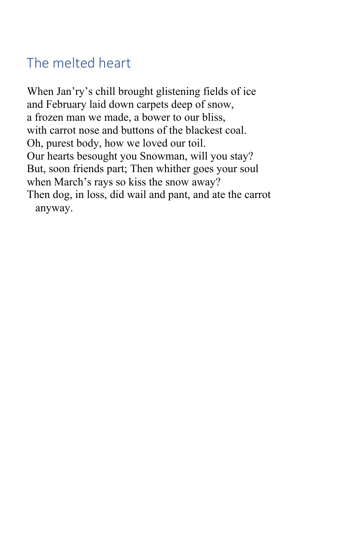## The melted heart

When Jan'ry's chill brought glistening fields of ice and February laid down carpets deep of snow, a frozen man we made, a bower to our bliss, with carrot nose and buttons of the blackest coal. Oh, purest body, how we loved our toil. Our hearts besought you Snowman, will you stay? But, soon friends part; Then whither goes your soul when March's rays so kiss the snow away? Then dog, in loss, did wail and pant, and ate the carrot anyway.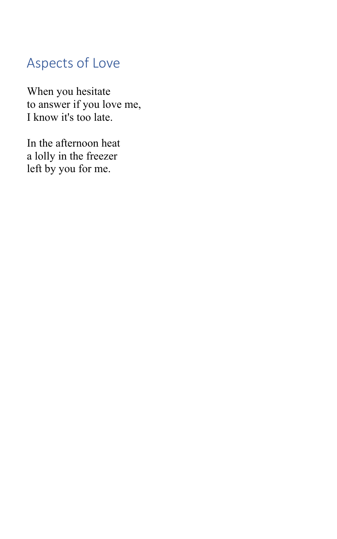# Aspects of Love

When you hesitate to answer if you love me, I know it's too late.

In the afternoon heat a lolly in the freezer left by you for me.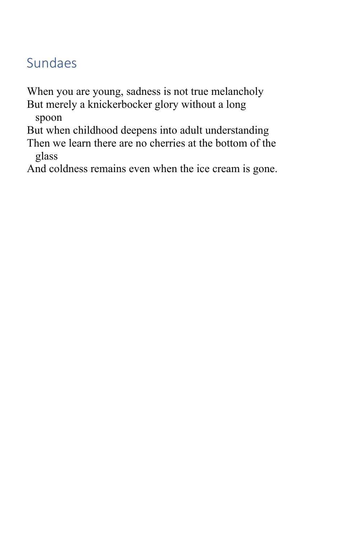## Sundaes

When you are young, sadness is not true melancholy

But merely a knickerbocker glory without a long spoon

But when childhood deepens into adult understanding

Then we learn there are no cherries at the bottom of the glass

And coldness remains even when the ice cream is gone.